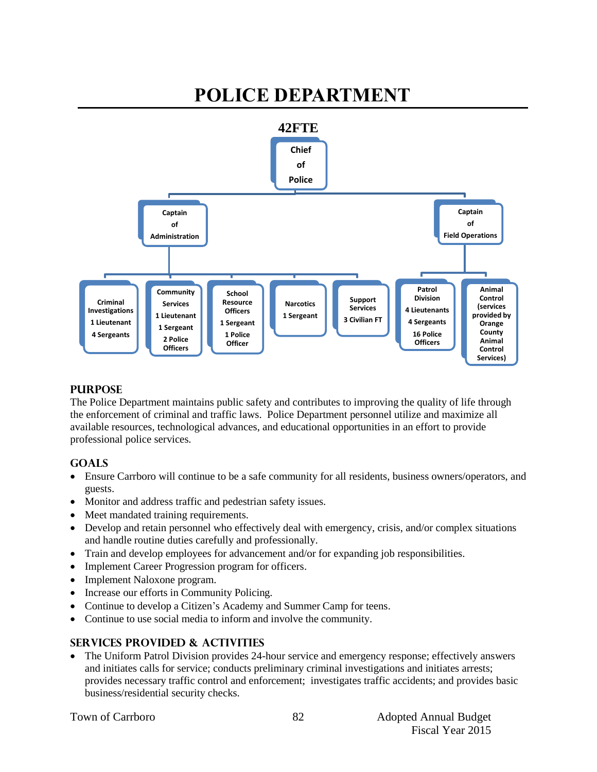#### **POLICE DEPARTMENT 42FTE Chief of Police Captain of Administration Criminal Investigations 1 Lieutenant 4 Sergeants Community Services 1 Lieutenant 1 Sergeant 2 Police Officers School Resource Officers 1 Sergeant 1 Police Officer Narcotics 1 Sergeant Support Services 3 Civilian FT Captain of Field Operations Patrol Division 4 Lieutenants 4 Sergeants 16 Police Officers Animal Control (services provided by Orange County Animal Control Services)**

#### **PURPOSE**

The Police Department maintains public safety and contributes to improving the quality of life through the enforcement of criminal and traffic laws. Police Department personnel utilize and maximize all available resources, technological advances, and educational opportunities in an effort to provide professional police services.

#### **GOALS**

- Ensure Carrboro will continue to be a safe community for all residents, business owners/operators, and guests.
- Monitor and address traffic and pedestrian safety issues.
- Meet mandated training requirements.
- Develop and retain personnel who effectively deal with emergency, crisis, and/or complex situations and handle routine duties carefully and professionally.
- Train and develop employees for advancement and/or for expanding job responsibilities.
- Implement Career Progression program for officers.
- Implement Naloxone program.
- Increase our efforts in Community Policing.
- Continue to develop a Citizen's Academy and Summer Camp for teens.
- Continue to use social media to inform and involve the community.

#### **SERVICES PROVIDED & ACTIVITIES**

 The Uniform Patrol Division provides 24-hour service and emergency response; effectively answers and initiates calls for service; conducts preliminary criminal investigations and initiates arrests; provides necessary traffic control and enforcement; investigates traffic accidents; and provides basic business/residential security checks.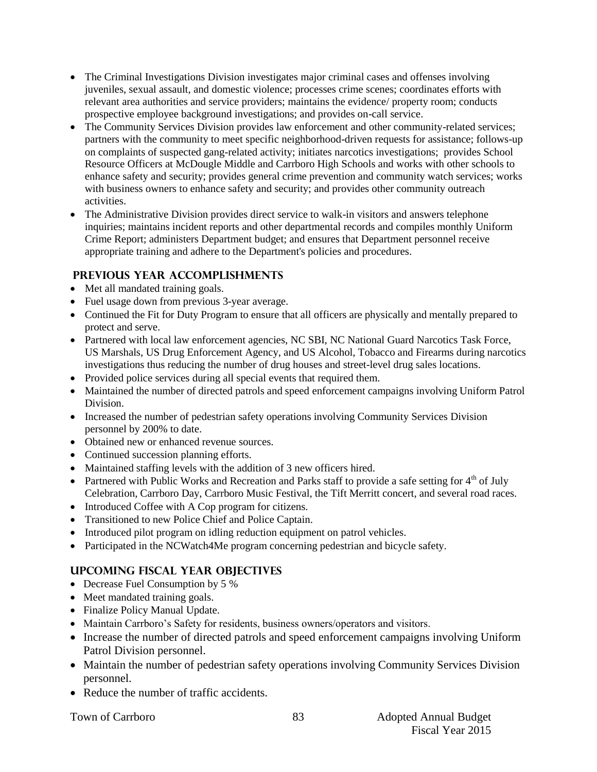- The Criminal Investigations Division investigates major criminal cases and offenses involving juveniles, sexual assault, and domestic violence; processes crime scenes; coordinates efforts with relevant area authorities and service providers; maintains the evidence/ property room; conducts prospective employee background investigations; and provides on-call service.
- The Community Services Division provides law enforcement and other community-related services; partners with the community to meet specific neighborhood-driven requests for assistance; follows-up on complaints of suspected gang-related activity; initiates narcotics investigations; provides School Resource Officers at McDougle Middle and Carrboro High Schools and works with other schools to enhance safety and security; provides general crime prevention and community watch services; works with business owners to enhance safety and security; and provides other community outreach activities.
- The Administrative Division provides direct service to walk-in visitors and answers telephone inquiries; maintains incident reports and other departmental records and compiles monthly Uniform Crime Report; administers Department budget; and ensures that Department personnel receive appropriate training and adhere to the Department's policies and procedures.

#### **PREVIOUS YEAR ACCOMPLISHMENTS**

- Met all mandated training goals.
- Fuel usage down from previous 3-year average.
- Continued the Fit for Duty Program to ensure that all officers are physically and mentally prepared to protect and serve.
- Partnered with local law enforcement agencies, NC SBI, NC National Guard Narcotics Task Force, US Marshals, US Drug Enforcement Agency, and US Alcohol, Tobacco and Firearms during narcotics investigations thus reducing the number of drug houses and street-level drug sales locations.
- Provided police services during all special events that required them.
- Maintained the number of directed patrols and speed enforcement campaigns involving Uniform Patrol Division.
- Increased the number of pedestrian safety operations involving Community Services Division personnel by 200% to date.
- Obtained new or enhanced revenue sources.
- Continued succession planning efforts.
- Maintained staffing levels with the addition of 3 new officers hired.
- Partnered with Public Works and Recreation and Parks staff to provide a safe setting for  $4<sup>th</sup>$  of July Celebration, Carrboro Day, Carrboro Music Festival, the Tift Merritt concert, and several road races.
- Introduced Coffee with A Cop program for citizens.
- Transitioned to new Police Chief and Police Captain.
- Introduced pilot program on idling reduction equipment on patrol vehicles.
- Participated in the NCWatch4Me program concerning pedestrian and bicycle safety.

#### **UPCOMING FISCAL YEAR OBJECTIVES**

- Decrease Fuel Consumption by 5 %
- Meet mandated training goals.
- Finalize Policy Manual Update.
- Maintain Carrboro's Safety for residents, business owners/operators and visitors.
- Increase the number of directed patrols and speed enforcement campaigns involving Uniform Patrol Division personnel.
- Maintain the number of pedestrian safety operations involving Community Services Division personnel.
- Reduce the number of traffic accidents.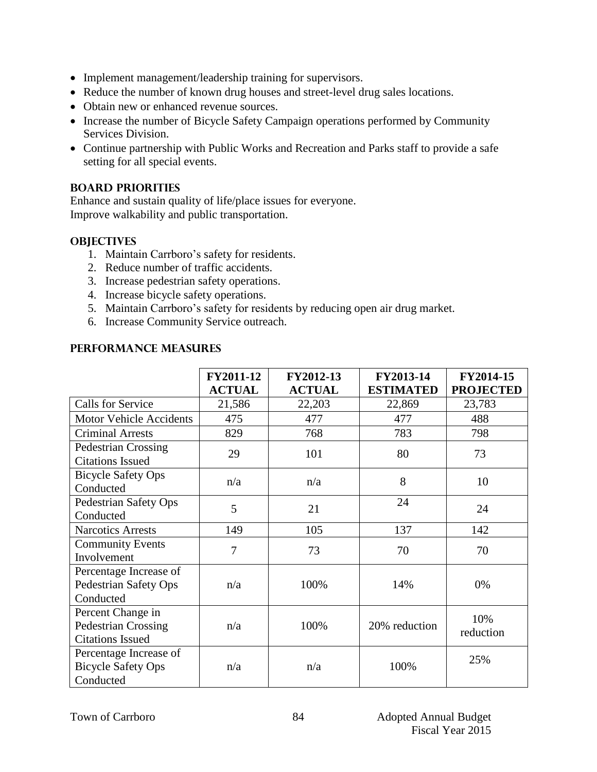- Implement management/leadership training for supervisors.
- Reduce the number of known drug houses and street-level drug sales locations.
- Obtain new or enhanced revenue sources.
- Increase the number of Bicycle Safety Campaign operations performed by Community Services Division.
- Continue partnership with Public Works and Recreation and Parks staff to provide a safe setting for all special events.

#### **BOARD PRIORITIES**

Enhance and sustain quality of life/place issues for everyone. Improve walkability and public transportation.

#### **OBJECTIVES**

- 1. Maintain Carrboro's safety for residents.
- 2. Reduce number of traffic accidents.
- 3. Increase pedestrian safety operations.
- 4. Increase bicycle safety operations.
- 5. Maintain Carrboro's safety for residents by reducing open air drug market.
- 6. Increase Community Service outreach.

|                                                                            | FY2011-12<br><b>ACTUAL</b> | FY2012-13<br><b>ACTUAL</b> | FY2013-14<br><b>ESTIMATED</b> | FY2014-15<br><b>PROJECTED</b> |
|----------------------------------------------------------------------------|----------------------------|----------------------------|-------------------------------|-------------------------------|
| <b>Calls for Service</b>                                                   | 21,586                     | 22,203                     | 22,869                        | 23,783                        |
| <b>Motor Vehicle Accidents</b>                                             | 475                        | 477                        | 477                           | 488                           |
| <b>Criminal Arrests</b>                                                    | 829                        | 768                        | 783                           | 798                           |
| <b>Pedestrian Crossing</b><br><b>Citations Issued</b>                      | 29                         | 101                        | 80                            | 73                            |
| <b>Bicycle Safety Ops</b><br>Conducted                                     | n/a                        | n/a                        | 8                             | 10                            |
| Pedestrian Safety Ops<br>Conducted                                         | 5                          | 21                         | 24                            | 24                            |
| <b>Narcotics Arrests</b>                                                   | 149                        | 105                        | 137                           | 142                           |
| <b>Community Events</b><br>Involvement                                     | 7                          | 73                         | 70                            | 70                            |
| Percentage Increase of<br>Pedestrian Safety Ops<br>Conducted               | n/a                        | 100%                       | 14%                           | 0%                            |
| Percent Change in<br><b>Pedestrian Crossing</b><br><b>Citations Issued</b> | n/a                        | 100%                       | 20% reduction                 | 10%<br>reduction              |
| Percentage Increase of<br><b>Bicycle Safety Ops</b><br>Conducted           | n/a                        | n/a                        | 100%                          | 25%                           |

#### **Performance Measures**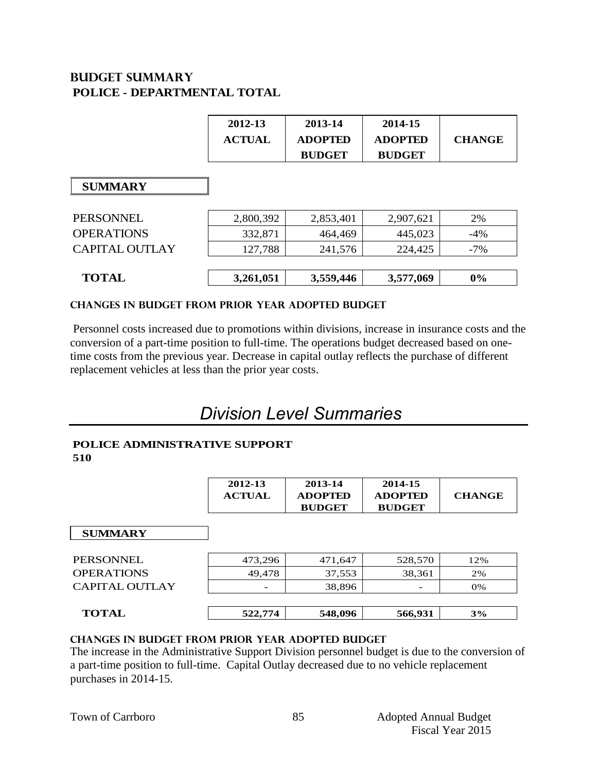# **Budget summary POLICE - DEPARTMENTAL TOTAL**

|                       | 2012-13<br><b>ACTUAL</b> | 2013-14<br><b>ADOPTED</b><br><b>BUDGET</b> | 2014-15<br><b>ADOPTED</b><br><b>BUDGET</b> | <b>CHANGE</b> |
|-----------------------|--------------------------|--------------------------------------------|--------------------------------------------|---------------|
| <b>SUMMARY</b>        |                          |                                            |                                            |               |
| <b>PERSONNEL</b>      | 2,800,392                | 2,853,401                                  | 2,907,621                                  | 2%            |
| <b>OPERATIONS</b>     | 332,871                  | 464,469                                    | 445,023                                    | $-4%$         |
| <b>CAPITAL OUTLAY</b> | 127,788                  | 241,576                                    | 224,425                                    | $-7\%$        |
| <b>TOTAL</b>          | 3,261,051                | 3,559,446                                  | 3,577,069                                  | 0%            |

#### **CHANGES IN BUDGET from PRIOR YEAR ADOPTED BUDGET**

Personnel costs increased due to promotions within divisions, increase in insurance costs and the conversion of a part-time position to full-time. The operations budget decreased based on onetime costs from the previous year. Decrease in capital outlay reflects the purchase of different replacement vehicles at less than the prior year costs.

# *Division Level Summaries*

#### **POLICE ADMINISTRATIVE SUPPORT 510**

|                   | 2012-13<br><b>ACTUAL</b> | 2013-14<br><b>ADOPTED</b><br><b>BUDGET</b> | 2014-15<br><b>ADOPTED</b><br><b>BUDGET</b> | <b>CHANGE</b> |
|-------------------|--------------------------|--------------------------------------------|--------------------------------------------|---------------|
| <b>SUMMARY</b>    |                          |                                            |                                            |               |
| <b>PERSONNEL</b>  | 473,296                  | 471,647                                    | 528,570                                    | 12%           |
| <b>OPERATIONS</b> | 49,478                   | 37,553                                     | 38,361                                     | 2%            |
| CAPITAL OUTLAY    |                          | 38,896                                     |                                            | 0%            |
| <b>TOTAL</b>      | 522,774                  | 548,096                                    | 566,931                                    | 3%            |

#### **changes in budget from prior year adopted budget**

The increase in the Administrative Support Division personnel budget is due to the conversion of a part-time position to full-time. Capital Outlay decreased due to no vehicle replacement purchases in 2014-15.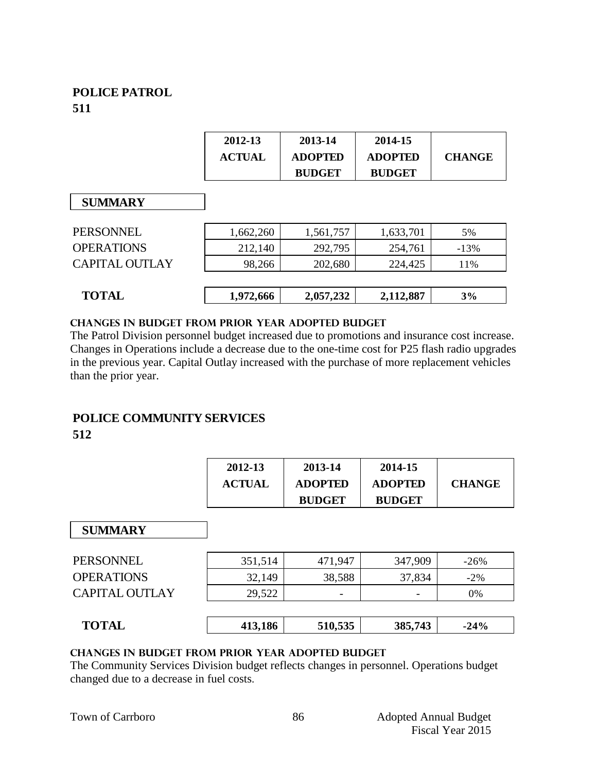# **POLICE PATROL 511**

|                       | 2012-13<br><b>ACTUAL</b> | 2013-14<br><b>ADOPTED</b> | 2014-15<br><b>ADOPTED</b> | <b>CHANGE</b> |
|-----------------------|--------------------------|---------------------------|---------------------------|---------------|
|                       |                          | <b>BUDGET</b>             | <b>BUDGET</b>             |               |
| <b>SUMMARY</b>        |                          |                           |                           |               |
| <b>PERSONNEL</b>      | 1,662,260                | 1,561,757                 | 1,633,701                 | 5%            |
| <b>OPERATIONS</b>     | 212,140                  | 292,795                   | 254,761                   | $-13%$        |
| <b>CAPITAL OUTLAY</b> | 98,266                   | 202,680                   | 224,425                   | 11%           |
| <b>TOTAL</b>          | 1,972,666                | 2,057,232                 | 2,112,887                 | 3%            |

#### **changes in budget from prior year adopted budget**

The Patrol Division personnel budget increased due to promotions and insurance cost increase. Changes in Operations include a decrease due to the one-time cost for P25 flash radio upgrades in the previous year. Capital Outlay increased with the purchase of more replacement vehicles than the prior year.

# **POLICE COMMUNITY SERVICES**

### **512**

| 2012-13       | 2013-14        | 2014-15        |               |
|---------------|----------------|----------------|---------------|
| <b>ACTUAL</b> | <b>ADOPTED</b> | <b>ADOPTED</b> | <b>CHANGE</b> |
|               | <b>BUDGET</b>  | <b>BUDGET</b>  |               |

#### **SUMMARY**

| <b>PERSONNEL</b>      | 351,514 | 471.947                  | 347,909                  | $-26\%$ |
|-----------------------|---------|--------------------------|--------------------------|---------|
| <b>OPERATIONS</b>     | 32,149  | 38,588                   | 37,834                   | $-2\%$  |
| <b>CAPITAL OUTLAY</b> | 29,522  | $\overline{\phantom{a}}$ | $\overline{\phantom{a}}$ | 0%      |
|                       |         |                          |                          |         |

|  | Tи<br>$\Lambda$<br>. <b>.</b> | 106 | 510,535 | 385,743 | 24% |
|--|-------------------------------|-----|---------|---------|-----|
|--|-------------------------------|-----|---------|---------|-----|

#### **changes in budget from prior year adopted budget**

The Community Services Division budget reflects changes in personnel. Operations budget changed due to a decrease in fuel costs.